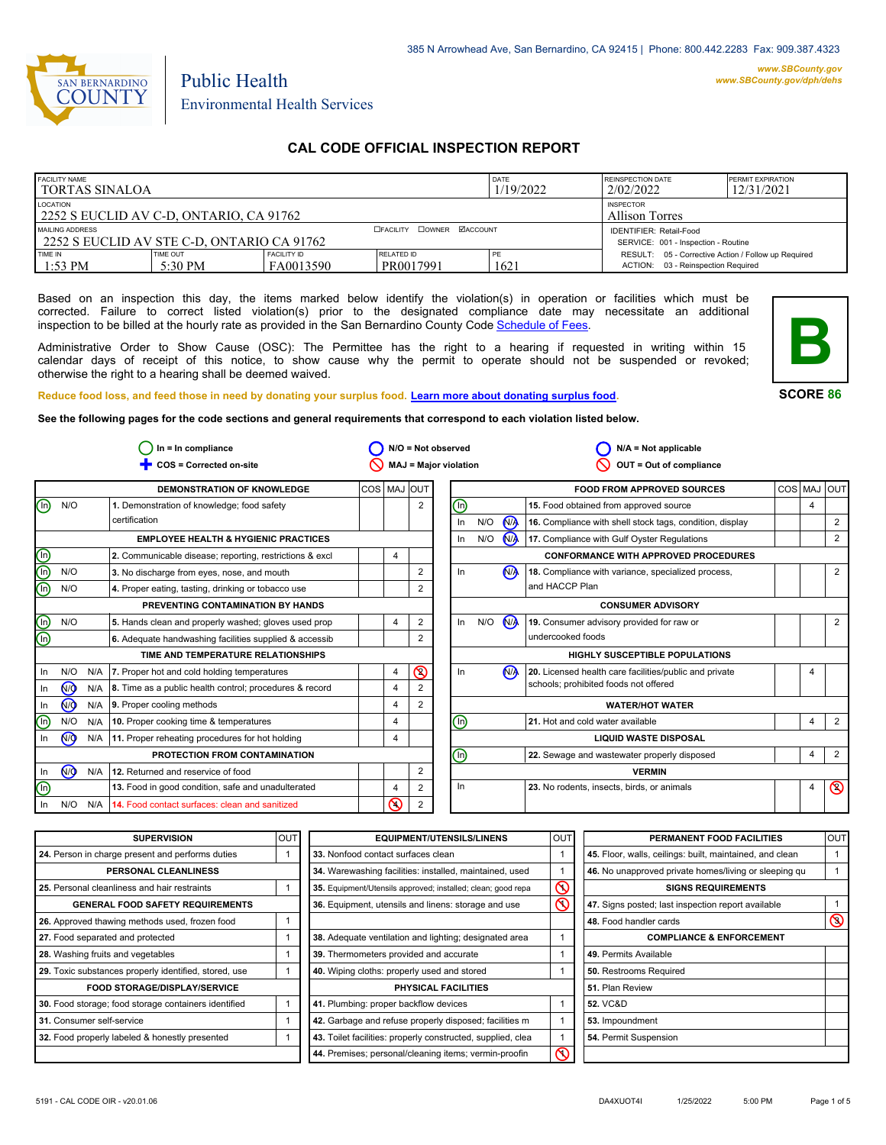

# Public Health Environmental Health Services

### **CAL CODE OFFICIAL INSPECTION REPORT**

| <b>FACILITY NAME</b><br>I TORTAS SINALOA                      |                     |                                                                | DATE<br>1/19/2022              | REINSPECTION DATE<br>2/02/2022 | <b>PERMIT EXPIRATION</b><br>12/31/2021                                                       |  |
|---------------------------------------------------------------|---------------------|----------------------------------------------------------------|--------------------------------|--------------------------------|----------------------------------------------------------------------------------------------|--|
| LOCATION<br>2252 S EUCLID AV C-D, ONTARIO, CA 91762           |                     | <b>INSPECTOR</b><br><b>Allison Torres</b>                      |                                |                                |                                                                                              |  |
| MAILING ADDRESS<br>2252 S EUCLID AV STE C-D. ONTARIO CA 91762 |                     | IDENTIFIER: Retail-Food<br>SERVICE: 001 - Inspection - Routine |                                |                                |                                                                                              |  |
| TIME IN<br>$1:53$ PM                                          | TIME OUT<br>5:30 PM | FACILITY ID<br>FA0013590                                       | <b>RELATED ID</b><br>PR0017991 | PE<br>1621                     | RESULT: 05 - Corrective Action / Follow up Required<br>03 - Reinspection Required<br>ACTION: |  |

Based on an inspection this day, the items marked below identify the violation(s) in operation or facilities which must be corrected. Failure to correct listed violation(s) prior to the designated compliance date may necessitate an additional inspection to be billed at the hourly rate as provided in the San Bernardino County Co[de Schedule of Fees.](https://codelibrary.amlegal.com/codes/sanbernardino/latest/sanberncty_ca/0-0-0-122474#JD_16.0213B)

Administrative Order to Show Cause (OSC): The Permittee has the right to a hearing if requested in writing within 15 calendar days of receipt of this notice, to show cause why the permit to operate should not be suspended or revoked; otherwise the right to a hearing shall be deemed waived.



**SCORE 86**

**Reduce food loss, and feed those in need by donating your surplus f[ood. Learn more about donating surplus food.](https://wp.sbcounty.gov/dph/programs/ehs/charitable-food-service/)**

**See the following pages for the code sections and general requirements that correspond to each violation listed below.**

|                |                |     | $In = In$ compliance                                    |             |                |                | $N/O = Not observed$  |     |                      | $N/A = Not applicable$                                   |                |                |
|----------------|----------------|-----|---------------------------------------------------------|-------------|----------------|----------------|-----------------------|-----|----------------------|----------------------------------------------------------|----------------|----------------|
|                |                |     | COS = Corrected on-site                                 |             |                |                | MAJ = Major violation |     |                      | OUT = Out of compliance                                  |                |                |
|                |                |     | DEMONSTRATION OF KNOWLEDGE                              | COS MAJ OUT |                |                |                       |     |                      | <b>FOOD FROM APPROVED SOURCES</b>                        | COS MAJ        | lout           |
| $\circledcirc$ | N/O            |     | 1. Demonstration of knowledge; food safety              |             |                | $\overline{2}$ | ℗                     |     |                      | 15. Food obtained from approved source                   | $\overline{4}$ |                |
|                |                |     | certification                                           |             |                |                | In                    | N/O | <b>N<sub>D</sub></b> | 16. Compliance with shell stock tags, condition, display |                | 2              |
|                |                |     | <b>EMPLOYEE HEALTH &amp; HYGIENIC PRACTICES</b>         |             |                |                | $\ln$                 | N/O | $N/\lambda$          | 17. Compliance with Gulf Oyster Regulations              |                | $\overline{2}$ |
|                |                |     | 2. Communicable disease; reporting, restrictions & excl |             | $\overline{4}$ |                |                       |     |                      | <b>CONFORMANCE WITH APPROVED PROCEDURES</b>              |                |                |
| OQ             | N/O            |     | 3. No discharge from eyes, nose, and mouth              |             |                | 2              | In                    |     | N <sub>A</sub>       | 18. Compliance with variance, specialized process,       |                | $\overline{2}$ |
| Ō              | N/O            |     | 4. Proper eating, tasting, drinking or tobacco use      |             |                |                |                       |     |                      | and HACCP Plan                                           |                |                |
|                |                |     | PREVENTING CONTAMINATION BY HANDS                       |             |                |                |                       |     |                      | <b>CONSUMER ADVISORY</b>                                 |                |                |
|                | N/O            |     | 5. Hands clean and properly washed; gloves used prop    |             | $\overline{4}$ | 2              | $\ln$                 | N/O | N                    | 19. Consumer advisory provided for raw or                |                | 2              |
| <u>මල</u>      |                |     | 6. Adequate handwashing facilities supplied & accessib  |             |                | $\overline{2}$ |                       |     |                      | undercooked foods                                        |                |                |
|                |                |     | TIME AND TEMPERATURE RELATIONSHIPS                      |             |                |                |                       |     |                      | <b>HIGHLY SUSCEPTIBLE POPULATIONS</b>                    |                |                |
| In             | N/O            | N/A | 7. Proper hot and cold holding temperatures             |             | 4              | $\circledcirc$ | $\ln$                 |     | N <sub>A</sub>       | 20. Licensed health care facilities/public and private   | 4              |                |
| In.            | 7              | N/A | 8. Time as a public health control; procedures & record |             | $\overline{4}$ |                |                       |     |                      | schools; prohibited foods not offered                    |                |                |
| In.            | @              | N/A | 9. Proper cooling methods                               |             | $\overline{4}$ | 2              |                       |     |                      | <b>WATER/HOT WATER</b>                                   |                |                |
| ⋒              | N/O            | N/A | 10. Proper cooking time & temperatures                  |             | $\overline{4}$ |                | ₪                     |     |                      | 21. Hot and cold water available                         | $\overline{4}$ | $\overline{2}$ |
| In.            | N <sub>O</sub> | N/A | 11. Proper reheating procedures for hot holding         |             | 4              |                |                       |     |                      | <b>LIQUID WASTE DISPOSAL</b>                             |                |                |
|                |                |     | PROTECTION FROM CONTAMINATION                           |             |                |                | ⋒                     |     |                      | 22. Sewage and wastewater properly disposed              | $\overline{4}$ | $\overline{2}$ |
| In             | <b>MO</b>      | N/A | 12. Returned and reservice of food                      |             |                | 2              |                       |     |                      | <b>VERMIN</b>                                            |                |                |
| $\circledcirc$ |                |     | 13. Food in good condition, safe and unadulterated      |             | $\overline{4}$ | 2              | ln                    |     |                      | 23. No rodents, insects, birds, or animals               | 4              | $\circledcirc$ |
| In.            | N/O            | N/A | 14. Food contact surfaces: clean and sanitized          |             | ⋒              | 2              |                       |     |                      |                                                          |                |                |

| 24. Person in charge present and performs duties      |  |                                                              |                          |                                                          | <b>OUT</b>     |
|-------------------------------------------------------|--|--------------------------------------------------------------|--------------------------|----------------------------------------------------------|----------------|
|                                                       |  | 33. Nonfood contact surfaces clean                           |                          | 45. Floor, walls, ceilings: built, maintained, and clean |                |
| PERSONAL CLEANLINESS                                  |  | 34. Warewashing facilities: installed, maintained, used      |                          | 46. No unapproved private homes/living or sleeping gu    |                |
| 25. Personal cleanliness and hair restraints          |  | 35. Equipment/Utensils approved; installed; clean; good repa | $\mathcal{Q}$            |                                                          |                |
| <b>GENERAL FOOD SAFETY REQUIREMENTS</b>               |  | 36. Equipment, utensils and linens: storage and use          | $\overline{\mathcal{C}}$ | 47. Signs posted; last inspection report available       |                |
| 26. Approved thawing methods used, frozen food        |  |                                                              |                          | 48. Food handler cards                                   | $\circledcirc$ |
| 27. Food separated and protected                      |  | 38. Adequate ventilation and lighting; designated area       |                          | <b>COMPLIANCE &amp; ENFORCEMENT</b>                      |                |
| 28. Washing fruits and vegetables                     |  | 39. Thermometers provided and accurate                       |                          | 49. Permits Available                                    |                |
| 29. Toxic substances properly identified, stored, use |  | 40. Wiping cloths: properly used and stored                  |                          | 50. Restrooms Required                                   |                |
| <b>FOOD STORAGE/DISPLAY/SERVICE</b>                   |  | <b>PHYSICAL FACILITIES</b>                                   |                          | <b>51. Plan Review</b>                                   |                |
| 30. Food storage; food storage containers identified  |  | 41. Plumbing: proper backflow devices                        |                          | <b>52. VC&amp;D</b>                                      |                |
| 31. Consumer self-service                             |  | 42. Garbage and refuse properly disposed; facilities m       |                          | 53. Impoundment                                          |                |
| 32. Food properly labeled & honestly presented        |  | 43. Toilet facilities: properly constructed, supplied, clea  |                          | 54. Permit Suspension                                    |                |
|                                                       |  | 44. Premises; personal/cleaning items; vermin-proofin        | Ƙ                        |                                                          |                |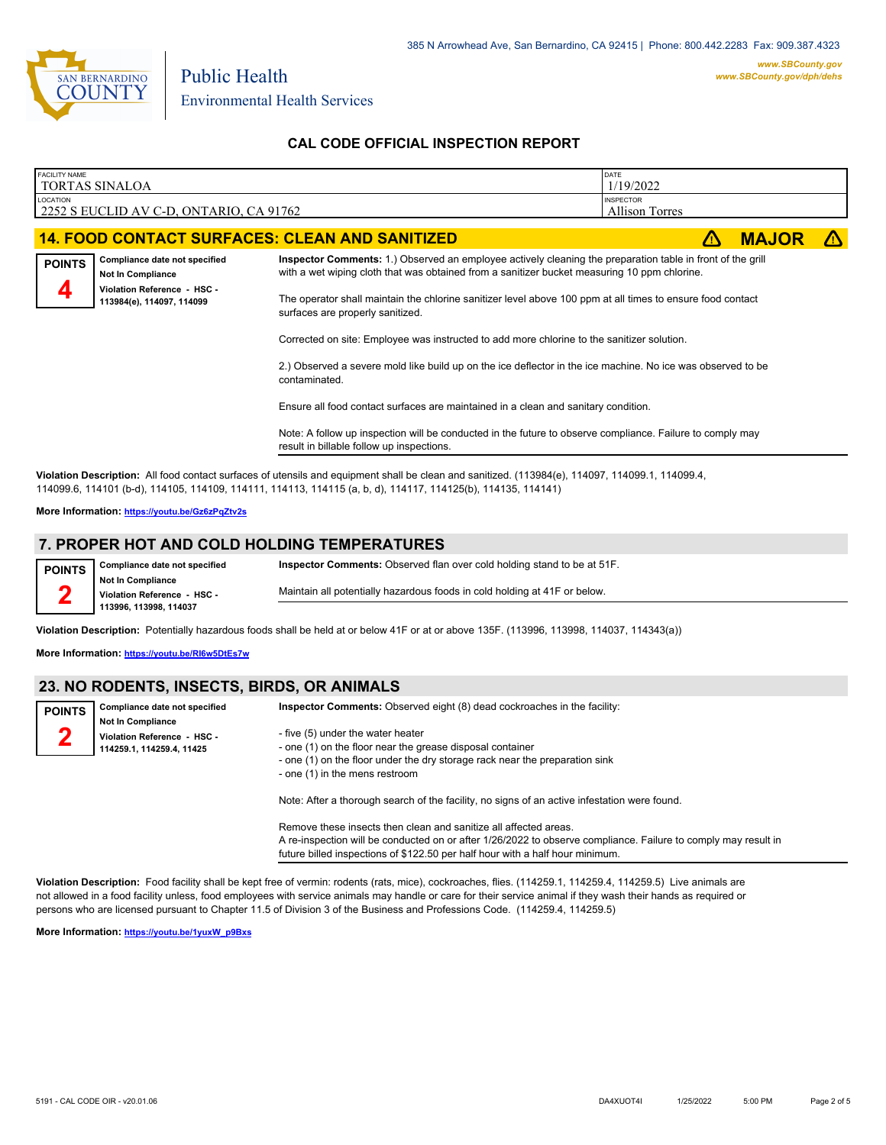

Environmental Health Services

Public Health

### **CAL CODE OFFICIAL INSPECTION REPORT**

| <b>FACILITY NAME</b> | <b>TORTAS SINALOA</b>                                    |                                                                                                                                                                                                            | DATE<br>1/19/2022                  |              |  |  |  |  |
|----------------------|----------------------------------------------------------|------------------------------------------------------------------------------------------------------------------------------------------------------------------------------------------------------------|------------------------------------|--------------|--|--|--|--|
| <b>LOCATION</b>      | 2252 S EUCLID AV C-D, ONTARIO, CA 91762                  |                                                                                                                                                                                                            | <b>INSPECTOR</b><br>Allison Torres |              |  |  |  |  |
|                      |                                                          | <b>14. FOOD CONTACT SURFACES: CLEAN AND SANITIZED</b>                                                                                                                                                      |                                    | <b>MAJOR</b> |  |  |  |  |
| <b>POINTS</b>        | Compliance date not specified<br>Not In Compliance       | Inspector Comments: 1.) Observed an employee actively cleaning the preparation table in front of the grill<br>with a wet wiping cloth that was obtained from a sanitizer bucket measuring 10 ppm chlorine. |                                    |              |  |  |  |  |
|                      | Violation Reference - HSC -<br>113984(e), 114097, 114099 | The operator shall maintain the chlorine sanitizer level above 100 ppm at all times to ensure food contact<br>surfaces are properly sanitized.                                                             |                                    |              |  |  |  |  |
|                      |                                                          | Corrected on site: Employee was instructed to add more chlorine to the sanitizer solution.                                                                                                                 |                                    |              |  |  |  |  |
|                      |                                                          | 2.) Observed a severe mold like build up on the ice deflector in the ice machine. No ice was observed to be<br>contaminated.                                                                               |                                    |              |  |  |  |  |
|                      |                                                          | Ensure all food contact surfaces are maintained in a clean and sanitary condition.                                                                                                                         |                                    |              |  |  |  |  |
|                      |                                                          | Note: A follow up inspection will be conducted in the future to observe compliance. Failure to comply may<br>result in billable follow up inspections.                                                     |                                    |              |  |  |  |  |
|                      |                                                          |                                                                                                                                                                                                            |                                    |              |  |  |  |  |

**Violation Description:** All food contact surfaces of utensils and equipment shall be clean and sanitized. (113984(e), 114097, 114099.1, 114099.4, 114099.6, 114101 (b-d), 114105, 114109, 114111, 114113, 114115 (a, b, d), 114117, 114125(b), 114135, 114141)

**More Information: <https://youtu.be/Gz6zPqZtv2s>**

## **7. PROPER HOT AND COLD HOLDING TEMPERATURES**

**Compliance date not specified POINTS**

**2**

**Inspector Comments:** Observed flan over cold holding stand to be at 51F.

**Not In Compliance Violation Reference - HSC - 113996, 113998, 114037**

Maintain all potentially hazardous foods in cold holding at 41F or below.

**Violation Description:** Potentially hazardous foods shall be held at or below 41F or at or above 135F. (113996, 113998, 114037, 114343(a))

**More Information: <https://youtu.be/RI6w5DtEs7w>**

### **23. NO RODENTS, INSECTS, BIRDS, OR ANIMALS**

| <b>POINTS</b> | Compliance date not specified                                                        | <b>Inspector Comments:</b> Observed eight (8) dead cockroaches in the facility:                               |
|---------------|--------------------------------------------------------------------------------------|---------------------------------------------------------------------------------------------------------------|
| n             | <b>Not In Compliance</b><br>Violation Reference - HSC -<br>114259.1, 114259.4, 11425 | - five (5) under the water heater<br>- one (1) on the floor near the grease disposal container                |
|               |                                                                                      | - one (1) on the floor under the dry storage rack near the preparation sink<br>- one (1) in the mens restroom |
|               |                                                                                      | Note: After a thorough search of the facility, no signs of an active infestation were found.                  |

Remove these insects then clean and sanitize all affected areas. A re-inspection will be conducted on or after 1/26/2022 to observe compliance. Failure to comply may result in future billed inspections of \$122.50 per half hour with a half hour minimum.

**Violation Description:** Food facility shall be kept free of vermin: rodents (rats, mice), cockroaches, flies. (114259.1, 114259.4, 114259.5) Live animals are not allowed in a food facility unless, food employees with service animals may handle or care for their service animal if they wash their hands as required or persons who are licensed pursuant to Chapter 11.5 of Division 3 of the Business and Professions Code. (114259.4, 114259.5)

**More Information: [https://youtu.be/1yuxW\\_p9Bxs](https://youtu.be/1yuxW_p9Bxs)**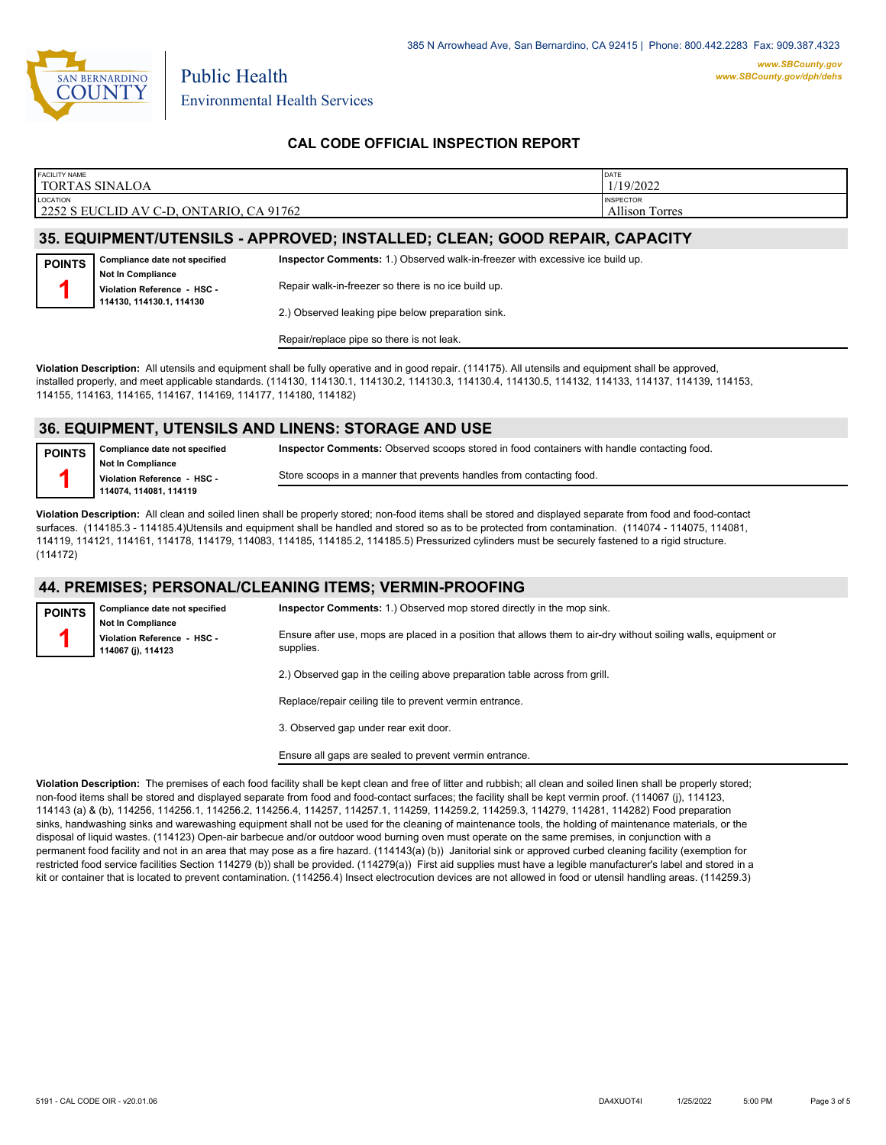

**POINTS 1**

Environmental Health Services

Public Health

### **CAL CODE OFFICIAL INSPECTION REPORT**

| <b>FACILITY NAME</b>                                       | DATE                                                         |
|------------------------------------------------------------|--------------------------------------------------------------|
| <b>TORTAS SINALOA</b>                                      | 1/19/2022                                                    |
| LOCATION<br>  2252 S EUCLID AV C-D, ONTARIO, CA 9<br>91762 | <b>INSPECTOR</b><br>Allison <sup>'</sup><br>$\sim$<br>Torres |

## **35. EQUIPMENT/UTENSILS - APPROVED; INSTALLED; CLEAN; GOOD REPAIR, CAPACITY**

**Compliance date not specified Not In Compliance Violation Reference - HSC - 114130, 114130.1, 114130 Inspector Comments:** 1.) Observed walk-in-freezer with excessive ice build up. Repair walk-in-freezer so there is no ice build up. 2.) Observed leaking pipe below preparation sink.

Repair/replace pipe so there is not leak.

**Violation Description:** All utensils and equipment shall be fully operative and in good repair. (114175). All utensils and equipment shall be approved, installed properly, and meet applicable standards. (114130, 114130.1, 114130.2, 114130.3, 114130.4, 114130.5, 114132, 114133, 114137, 114139, 114153, 114155, 114163, 114165, 114167, 114169, 114177, 114180, 114182)

#### **36. EQUIPMENT, UTENSILS AND LINENS: STORAGE AND USE**

**Compliance date not specified Not In Compliance Violation Reference - HSC - 114074, 114081, 114119 POINTS 1 Inspector Comments:** Observed scoops stored in food containers with handle contacting food. Store scoops in a manner that prevents handles from contacting food.

**Violation Description:** All clean and soiled linen shall be properly stored; non-food items shall be stored and displayed separate from food and food-contact surfaces. (114185.3 - 114185.4)Utensils and equipment shall be handled and stored so as to be protected from contamination. (114074 - 114075, 114081, 114119, 114121, 114161, 114178, 114179, 114083, 114185, 114185.2, 114185.5) Pressurized cylinders must be securely fastened to a rigid structure. (114172)

#### **44. PREMISES; PERSONAL/CLEANING ITEMS; VERMIN-PROOFING**

**Compliance date not specified Not In Compliance Violation Reference - HSC - 114067 (j), 114123 POINTS 1 Inspector Comments:** 1.) Observed mop stored directly in the mop sink. Ensure after use, mops are placed in a position that allows them to air-dry without soiling walls, equipment or supplies. 2.) Observed gap in the ceiling above preparation table across from grill. Replace/repair ceiling tile to prevent vermin entrance.

3. Observed gap under rear exit door.

Ensure all gaps are sealed to prevent vermin entrance.

**Violation Description:** The premises of each food facility shall be kept clean and free of litter and rubbish; all clean and soiled linen shall be properly stored; non-food items shall be stored and displayed separate from food and food-contact surfaces; the facility shall be kept vermin proof. (114067 (j), 114123, 114143 (a) & (b), 114256, 114256.1, 114256.2, 114256.4, 114257, 114257.1, 114259, 114259.2, 114259.3, 114279, 114281, 114282) Food preparation sinks, handwashing sinks and warewashing equipment shall not be used for the cleaning of maintenance tools, the holding of maintenance materials, or the disposal of liquid wastes. (114123) Open-air barbecue and/or outdoor wood burning oven must operate on the same premises, in conjunction with a permanent food facility and not in an area that may pose as a fire hazard. (114143(a) (b)) Janitorial sink or approved curbed cleaning facility (exemption for restricted food service facilities Section 114279 (b)) shall be provided. (114279(a)) First aid supplies must have a legible manufacturer's label and stored in a kit or container that is located to prevent contamination. (114256.4) Insect electrocution devices are not allowed in food or utensil handling areas. (114259.3)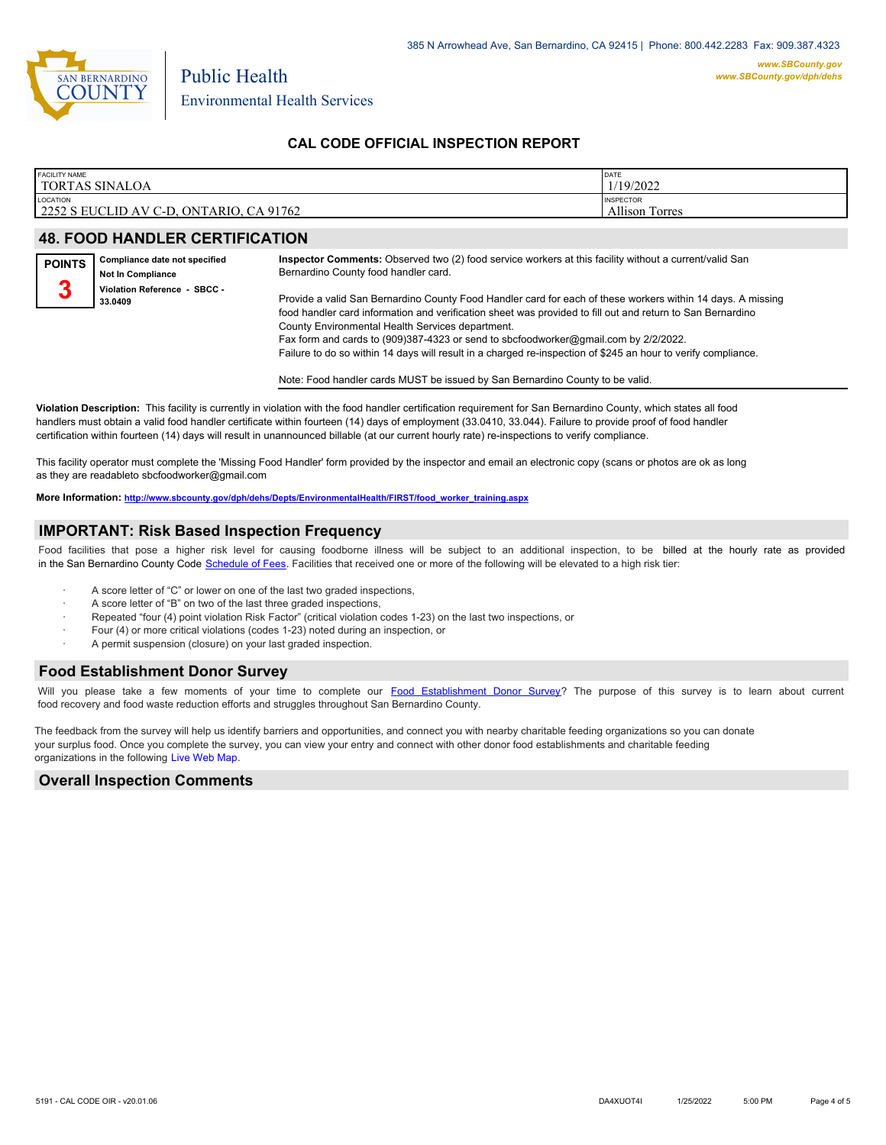

Environmental Health Services

Public Health

#### **CAL CODE OFFICIAL INSPECTION REPORT**

| <b>FACILITY NAME</b>                    | DATE                  |
|-----------------------------------------|-----------------------|
| TORTAS SINALOA                          | 1/19/2022             |
| <b>LOCATION</b>                         | <b>INSPECTOR</b>      |
| 2252 S EUCLID AV C-D, ONTARIO, CA 91762 | <b>Allison Torres</b> |

### **48. FOOD HANDLER CERTIFICATION**

| <b>POINTS</b> | Compliance date not specified<br><b>Not In Compliance</b> | Inspector Comments: Observed two (2) food service workers at this facility without a current/valid San<br>Bernardino County food handler card.                                                                                                                                                                                                                                                                                                                                        |
|---------------|-----------------------------------------------------------|---------------------------------------------------------------------------------------------------------------------------------------------------------------------------------------------------------------------------------------------------------------------------------------------------------------------------------------------------------------------------------------------------------------------------------------------------------------------------------------|
| ◠             | Violation Reference - SBCC -<br>33.0409                   | Provide a valid San Bernardino County Food Handler card for each of these workers within 14 days. A missing<br>food handler card information and verification sheet was provided to fill out and return to San Bernardino<br>County Environmental Health Services department.<br>Fax form and cards to (909)387-4323 or send to sbcfoodworker@gmail.com by 2/2/2022.<br>Failure to do so within 14 days will result in a charged re-inspection of \$245 an hour to verify compliance. |
|               |                                                           |                                                                                                                                                                                                                                                                                                                                                                                                                                                                                       |

Note: Food handler cards MUST be issued by San Bernardino County to be valid.

**Violation Description:** This facility is currently in violation with the food handler certification requirement for San Bernardino County, which states all food handlers must obtain a valid food handler certificate within fourteen (14) days of employment (33.0410, 33.044). Failure to provide proof of food handler certification within fourteen (14) days will result in unannounced billable (at our current hourly rate) re-inspections to verify compliance.

This facility operator must complete the 'Missing Food Handler' form provided by the inspector and email an electronic copy (scans or photos are ok as long as they are readableto sbcfoodworker@gmail.com

**More Information: [http://www.sbcounty.gov/dph/dehs/Depts/EnvironmentalHealth/FIRST/food\\_worker\\_training.aspx](http://www.sbcounty.gov/dph/dehs/Depts/EnvironmentalHealth/FIRST/food_worker_training.aspx)**

#### **IMPORTANT: Risk Based Inspection Frequency**

Food facilities that pose a higher risk level for causing foodborne illness will be subject to an additional inspection, to be billed at the hourly rate as provided in the San Bernardino Count[y Code Schedule of Fees. Facilitie](https://codelibrary.amlegal.com/codes/sanbernardino/latest/sanberncty_ca/0-0-0-122474#JD_16.0213B)s that received one or more of the following will be elevated to a high risk tier:

- A score letter of "C" or lower on one of the last two graded inspections,
- A score letter of "B" on two of the last three graded inspections,
- Repeated "four (4) point violation Risk Factor" (critical violation codes 1-23) on the last two inspections, or
- · Four (4) or more critical violations (codes 1-23) noted during an inspection, or
- A permit suspension (closure) on your last graded inspection.

#### **Food Establishment Donor Survey**

Will you please take a few moments of your time to co[mplete our Food Establishment Donor Survey?](https://survey123.arcgis.com/share/626bb0fb21674c82832b0c0d557c5e80?field:faid=FA0013590&field:facility_name=TORTAS%20SINALOA¢er=34.03,-117.65&field:phone=9099848066) The purpose of this survey is to learn about current food recovery and food waste reduction efforts and struggles throughout San Bernardino County.

The feedback from the survey will help us identify barriers and opportunities, and connect you with nearby charitable feeding organizations so you can donate your surplus food. Once you complete the survey, you can view your entry and connect with other donor food establishments and charitable feeding organizations in the fol[lowing Live Web Map.](https://arcg.is/WvjGb)

#### **Overall Inspection Comments**